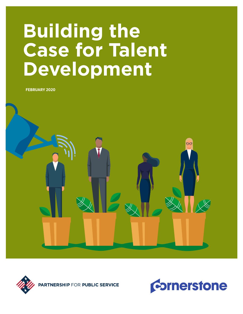# **Building the Case for Talent Development**

**FEBRUARY 2020**





**TNERSHIP FOR PUBLIC SERVICE** 

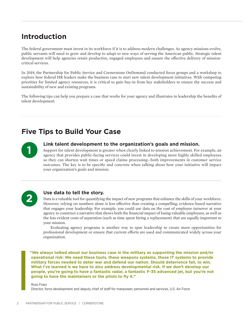## **Introduction**

The federal government must invest in its workforce if it is to address modern challenges. As agency missions evolve, public servants will need to grow and develop to adapt to new ways of serving the American public. Strategic talent development will help agencies retain productive, engaged employees and ensure the effective delivery of missioncritical services.

In 2019, the Partnership for Public Service and Cornerstone OnDemand conducted focus groups and a workshop to explore how federal HR leaders make the business case to start new talent development initiatives. With competing priorities for limited agency resources, it is critical to gain buy-in from key stakeholders to ensure the success and sustainability of new and existing programs.

The following tips can help you prepare a case that works for your agency and illustrates to leadership the benefits of talent development.

## **Five Tips to Build Your Case**



**11 Ink talent development to the organization's goals and mission.**<br>Support for talent development is greater when clearly linked to mission achievement. For<br>agency that provides public-facing services could invest in dev Support for talent development is greater when clearly linked to mission achievement. For example, an agency that provides public-facing services could invest in developing more highly skilled employees so they can shorten wait times or speed claims processing—both improvements in customer service outcomes. The key is to be specific and concrete when talking about how your initiative will impact your organization's goals and mission.



#### **2 Use data to tell the story.**

Data is a valuable tool for quantifying the impact of new programs that enhance the skills of your workforce. However, relying on numbers alone is less effective than creating a compelling, evidence-based narrative that engages your leadership. For example, you could use data on the cost of employee turnover at your agency to construct a narrative that shows both the financial impact of losing valuable employees, as well as the less evident costs of separation (such as time spent hiring a replacement) that are equally important to your mission.

Evaluating agency programs is another way to spur leadership to create more opportunities for professional development or ensure that current efforts are used and communicated widely across your organization.

**"We always talked about our business case in the military as supporting the mission and/or operational risk: We need these tools, these weapons systems, these IT systems to provide military forces needed to deter war and defend our nation. Should deterrence fail, to win. What I've learned is we have to also address developmental risk. If we don't develop our people, you're going to have a fantastic radar, a fantastic F-35 advanced jet, but you're not going to have the maintainers or the pilots to fly it."**

Russ Frasz

Director, force development and deputy chief of staff for manpower, personnel and services, U.S. Air Force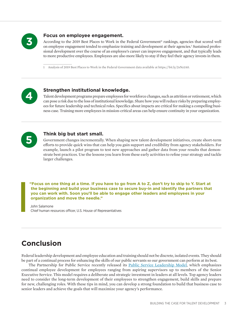

## **Focus on employee engagement.**<br>According to the 2019 Best Places to Work in th

According to the 2019 Best Places to Work in the Federal Government® rankings, agencies that scored well on employee engagement tended to emphasize training and development at their agencies.<sup>1</sup> Sustained professional development over the course of an employee's career can improve engagement, and that typically leads to more productive employees. Employees are also more likely to stay if they feel their agency invests in them.

1 Analysis of 2019 Best Places to Work in the Federal Government data available at https://bit.ly/2sNz1A0.



## **4 A Strengthen institutional knowledge.**<br>Talent development programs prepare employees for

Talent development programs prepare employees for workforce changes, such as attrition or retirement, which can pose a risk due to the loss of institutional knowledge. Share how you will reduce risks by preparing employees for future leadership and technical roles. Specifics about impacts are critical for making a compelling business case. Training more employees in mission-critical areas can help ensure continuity in your organization.



### **5 Think big but start small.**

Government changes incrementally. When shaping new talent development initiatives, create short-term efforts to provide quick wins that can help you gain support and credibility from agency stakeholders. For example, launch a pilot program to test new approaches and gather data from your results that demonstrate best practices. Use the lessons you learn from these early activities to refine your strategy and tackle larger challenges.

**"Focus on one thing at a time. If you have to go from A to Z, don't try to skip to Y. Start at the beginning and build your business case to secure buy-in and identify the partners that you can work with. Soon you'll be able to engage other leaders and employees in your organization and move the needle."** 

John Salamone Chief human resources officer, U.S. House of Representatives

## **Conclusion**

Federal leadership development and employee education and training should not be discrete, isolated events. They should be part of a continual process for enhancing the skills of our public servants so our government can perform at its best.

The Partnership for Public Service recently released its [Public Service Leadership Model,](https://ourpublicservice.org/our-work/public-service-leadership-model/) which emphasizes continual employee development for employees ranging from aspiring supervisors up to members of the Senior Executive Service. This model requires a deliberate and strategic investment in leaders at all levels. Top agency leaders need to consider the long-term development of their employees to strengthen engagement, build skills and prepare for new, challenging roles. With these tips in mind, you can develop a strong foundation to build that business case to senior leaders and achieve the goals that will maximize your agency's performance.